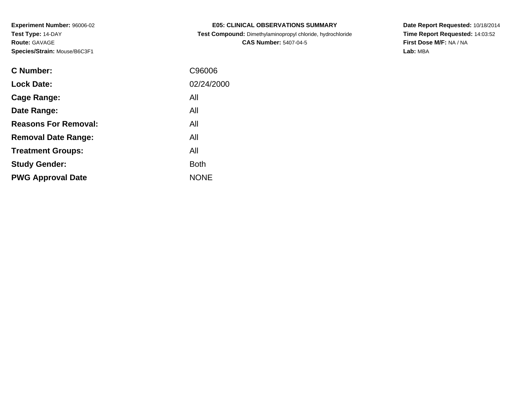| <b>E05: CLINICAL OBSERVATIONS SUMMARY</b>                  |
|------------------------------------------------------------|
| Test Compound: Dimethylaminopropyl chloride, hydrochloride |

**CAS Number:** 5407-04-5

**Date Report Requested:** 10/18/2014 **Time Report Requested:** 14:03:52**First Dose M/F:** NA / NA**Lab:** MBA

| <b>C</b> Number:            | C96006      |
|-----------------------------|-------------|
| <b>Lock Date:</b>           | 02/24/2000  |
| Cage Range:                 | All         |
| Date Range:                 | All         |
| <b>Reasons For Removal:</b> | All         |
| <b>Removal Date Range:</b>  | All         |
| <b>Treatment Groups:</b>    | All         |
| <b>Study Gender:</b>        | <b>Both</b> |
| <b>PWG Approval Date</b>    | <b>NONE</b> |
|                             |             |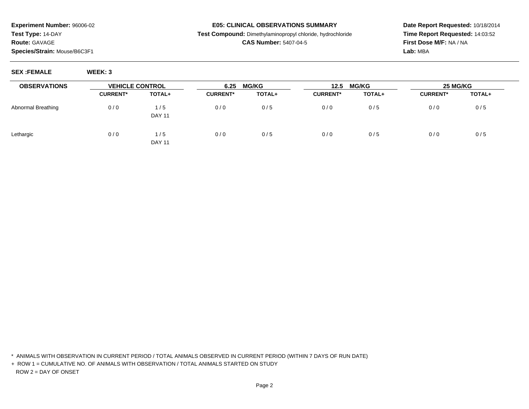#### **E05: CLINICAL OBSERVATIONS SUMMARY**

**Test Compound:** Dimethylaminopropyl chloride, hydrochloride

## **CAS Number:** 5407-04-5

**Date Report Requested:** 10/18/2014**Time Report Requested:** 14:03:52**First Dose M/F:** NA / NA**Lab:** MBA

**SEX :FEMALE WEEK: 3**

| <b>OBSERVATIONS</b> | <b>VEHICLE CONTROL</b> |                      | 6.25            | <b>MG/KG</b> | 12.5            | <b>MG/KG</b> | 25 MG/KG        |        |
|---------------------|------------------------|----------------------|-----------------|--------------|-----------------|--------------|-----------------|--------|
|                     | <b>CURRENT*</b>        | TOTAL+               | <b>CURRENT*</b> | TOTAL+       | <b>CURRENT*</b> | TOTAL+       | <b>CURRENT*</b> | TOTAL+ |
| Abnormal Breathing  | 0/0                    | 1/5<br><b>DAY 11</b> | 0/0             | 0/5          | 0/0             | 0/5          | 0/0             | 0/5    |
| Lethargic           | 0/0                    | 1/5<br><b>DAY 11</b> | 0/0             | 0/5          | 0/0             | 0/5          | 0/0             | 0/5    |

\* ANIMALS WITH OBSERVATION IN CURRENT PERIOD / TOTAL ANIMALS OBSERVED IN CURRENT PERIOD (WITHIN 7 DAYS OF RUN DATE)

+ ROW 1 = CUMULATIVE NO. OF ANIMALS WITH OBSERVATION / TOTAL ANIMALS STARTED ON STUDYROW 2 = DAY OF ONSET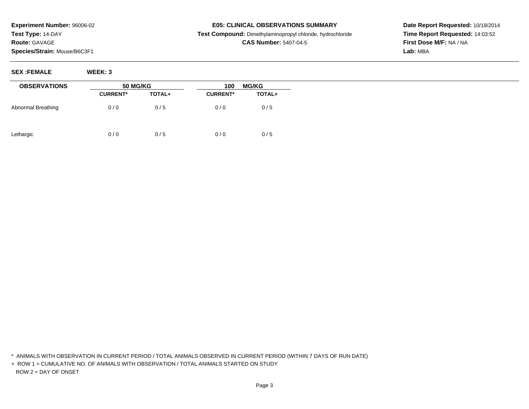#### **E05: CLINICAL OBSERVATIONS SUMMARY**

**Test Compound:** Dimethylaminopropyl chloride, hydrochloride

## **CAS Number:** 5407-04-5

**Date Report Requested:** 10/18/2014**Time Report Requested:** 14:03:52**First Dose M/F:** NA / NA**Lab:** MBA

**SEX :FEMALE WEEK: 3**

| <b>OBSERVATIONS</b> |                 | <b>50 MG/KG</b> |                 | <b>MG/KG</b><br>100 |  |
|---------------------|-----------------|-----------------|-----------------|---------------------|--|
|                     | <b>CURRENT*</b> | TOTAL+          | <b>CURRENT*</b> | <b>TOTAL+</b>       |  |
| Abnormal Breathing  | 0/0             | 0/5             | 0/0             | 0/5                 |  |
| Lethargic           | 0/0             | 0/5             | 0/0             | 0/5                 |  |

\* ANIMALS WITH OBSERVATION IN CURRENT PERIOD / TOTAL ANIMALS OBSERVED IN CURRENT PERIOD (WITHIN 7 DAYS OF RUN DATE)

+ ROW 1 = CUMULATIVE NO. OF ANIMALS WITH OBSERVATION / TOTAL ANIMALS STARTED ON STUDYROW 2 = DAY OF ONSET